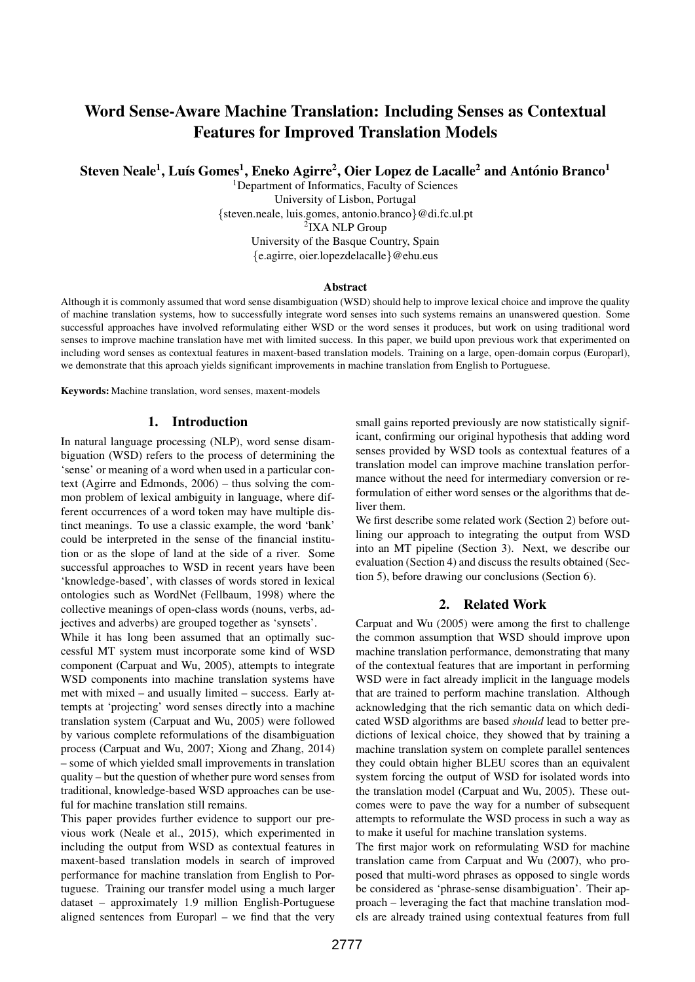# Word Sense-Aware Machine Translation: Including Senses as Contextual Features for Improved Translation Models

Steven Neale<sup>1</sup>, Luís Gomes<sup>1</sup>, Eneko Agirre<sup>2</sup>, Oier Lopez de Lacalle<sup>2</sup> and António Branco<sup>1</sup>

<sup>1</sup>Department of Informatics, Faculty of Sciences University of Lisbon, Portugal {steven.neale, luis.gomes, antonio.branco}@di.fc.ul.pt 2 IXA NLP Group University of the Basque Country, Spain {e.agirre, oier.lopezdelacalle}@ehu.eus

### Abstract

Although it is commonly assumed that word sense disambiguation (WSD) should help to improve lexical choice and improve the quality of machine translation systems, how to successfully integrate word senses into such systems remains an unanswered question. Some successful approaches have involved reformulating either WSD or the word senses it produces, but work on using traditional word senses to improve machine translation have met with limited success. In this paper, we build upon previous work that experimented on including word senses as contextual features in maxent-based translation models. Training on a large, open-domain corpus (Europarl), we demonstrate that this aproach yields significant improvements in machine translation from English to Portuguese.

Keywords: Machine translation, word senses, maxent-models

### 1. Introduction

In natural language processing (NLP), word sense disambiguation (WSD) refers to the process of determining the 'sense' or meaning of a word when used in a particular context (Agirre and Edmonds, 2006) – thus solving the common problem of lexical ambiguity in language, where different occurrences of a word token may have multiple distinct meanings. To use a classic example, the word 'bank' could be interpreted in the sense of the financial institution or as the slope of land at the side of a river. Some successful approaches to WSD in recent years have been 'knowledge-based', with classes of words stored in lexical ontologies such as WordNet (Fellbaum, 1998) where the collective meanings of open-class words (nouns, verbs, adjectives and adverbs) are grouped together as 'synsets'.

While it has long been assumed that an optimally successful MT system must incorporate some kind of WSD component (Carpuat and Wu, 2005), attempts to integrate WSD components into machine translation systems have met with mixed – and usually limited – success. Early attempts at 'projecting' word senses directly into a machine translation system (Carpuat and Wu, 2005) were followed by various complete reformulations of the disambiguation process (Carpuat and Wu, 2007; Xiong and Zhang, 2014) – some of which yielded small improvements in translation quality – but the question of whether pure word senses from traditional, knowledge-based WSD approaches can be useful for machine translation still remains.

This paper provides further evidence to support our previous work (Neale et al., 2015), which experimented in including the output from WSD as contextual features in maxent-based translation models in search of improved performance for machine translation from English to Portuguese. Training our transfer model using a much larger dataset – approximately 1.9 million English-Portuguese aligned sentences from Europarl – we find that the very

small gains reported previously are now statistically significant, confirming our original hypothesis that adding word senses provided by WSD tools as contextual features of a translation model can improve machine translation performance without the need for intermediary conversion or reformulation of either word senses or the algorithms that deliver them.

We first describe some related work (Section 2) before outlining our approach to integrating the output from WSD into an MT pipeline (Section 3). Next, we describe our evaluation (Section 4) and discuss the results obtained (Section 5), before drawing our conclusions (Section 6).

## 2. Related Work

Carpuat and Wu (2005) were among the first to challenge the common assumption that WSD should improve upon machine translation performance, demonstrating that many of the contextual features that are important in performing WSD were in fact already implicit in the language models that are trained to perform machine translation. Although acknowledging that the rich semantic data on which dedicated WSD algorithms are based *should* lead to better predictions of lexical choice, they showed that by training a machine translation system on complete parallel sentences they could obtain higher BLEU scores than an equivalent system forcing the output of WSD for isolated words into the translation model (Carpuat and Wu, 2005). These outcomes were to pave the way for a number of subsequent attempts to reformulate the WSD process in such a way as to make it useful for machine translation systems.

The first major work on reformulating WSD for machine translation came from Carpuat and Wu (2007), who proposed that multi-word phrases as opposed to single words be considered as 'phrase-sense disambiguation'. Their approach – leveraging the fact that machine translation models are already trained using contextual features from full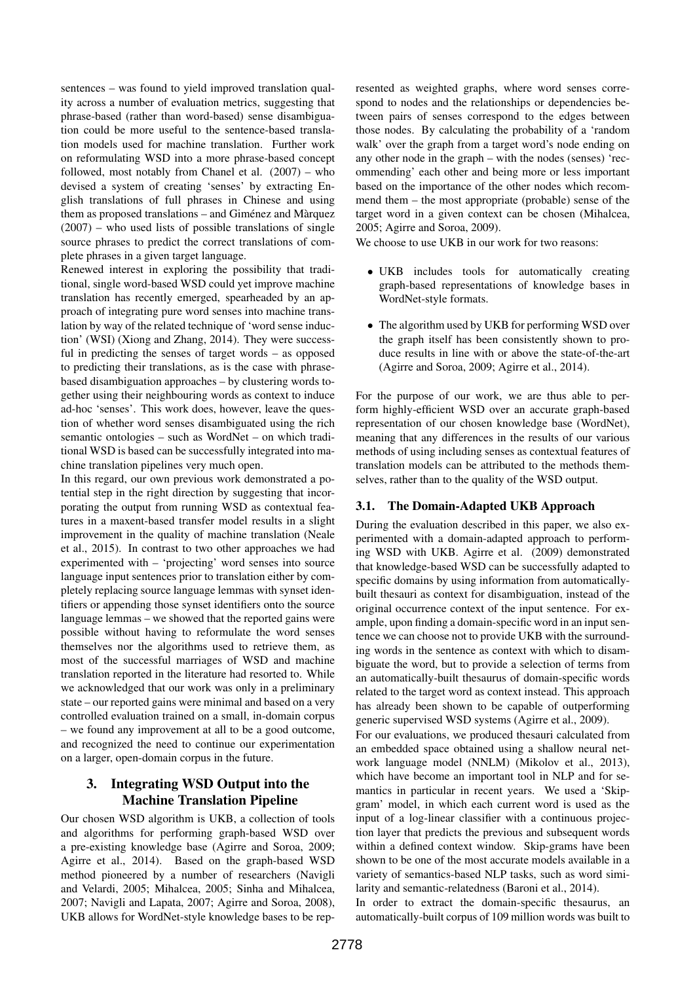sentences – was found to yield improved translation quality across a number of evaluation metrics, suggesting that phrase-based (rather than word-based) sense disambiguation could be more useful to the sentence-based translation models used for machine translation. Further work on reformulating WSD into a more phrase-based concept followed, most notably from Chanel et al. (2007) – who devised a system of creating 'senses' by extracting English translations of full phrases in Chinese and using them as proposed translations  $-$  and Giménez and Màrquez (2007) – who used lists of possible translations of single source phrases to predict the correct translations of complete phrases in a given target language.

Renewed interest in exploring the possibility that traditional, single word-based WSD could yet improve machine translation has recently emerged, spearheaded by an approach of integrating pure word senses into machine translation by way of the related technique of 'word sense induction' (WSI) (Xiong and Zhang, 2014). They were successful in predicting the senses of target words – as opposed to predicting their translations, as is the case with phrasebased disambiguation approaches – by clustering words together using their neighbouring words as context to induce ad-hoc 'senses'. This work does, however, leave the question of whether word senses disambiguated using the rich semantic ontologies – such as WordNet – on which traditional WSD is based can be successfully integrated into machine translation pipelines very much open.

In this regard, our own previous work demonstrated a potential step in the right direction by suggesting that incorporating the output from running WSD as contextual features in a maxent-based transfer model results in a slight improvement in the quality of machine translation (Neale et al., 2015). In contrast to two other approaches we had experimented with – 'projecting' word senses into source language input sentences prior to translation either by completely replacing source language lemmas with synset identifiers or appending those synset identifiers onto the source language lemmas – we showed that the reported gains were possible without having to reformulate the word senses themselves nor the algorithms used to retrieve them, as most of the successful marriages of WSD and machine translation reported in the literature had resorted to. While we acknowledged that our work was only in a preliminary state – our reported gains were minimal and based on a very controlled evaluation trained on a small, in-domain corpus – we found any improvement at all to be a good outcome, and recognized the need to continue our experimentation on a larger, open-domain corpus in the future.

## 3. Integrating WSD Output into the Machine Translation Pipeline

Our chosen WSD algorithm is UKB, a collection of tools and algorithms for performing graph-based WSD over a pre-existing knowledge base (Agirre and Soroa, 2009; Agirre et al., 2014). Based on the graph-based WSD method pioneered by a number of researchers (Navigli and Velardi, 2005; Mihalcea, 2005; Sinha and Mihalcea, 2007; Navigli and Lapata, 2007; Agirre and Soroa, 2008), UKB allows for WordNet-style knowledge bases to be represented as weighted graphs, where word senses correspond to nodes and the relationships or dependencies between pairs of senses correspond to the edges between those nodes. By calculating the probability of a 'random walk' over the graph from a target word's node ending on any other node in the graph – with the nodes (senses) 'recommending' each other and being more or less important based on the importance of the other nodes which recommend them – the most appropriate (probable) sense of the target word in a given context can be chosen (Mihalcea, 2005; Agirre and Soroa, 2009).

We choose to use UKB in our work for two reasons:

- UKB includes tools for automatically creating graph-based representations of knowledge bases in WordNet-style formats.
- The algorithm used by UKB for performing WSD over the graph itself has been consistently shown to produce results in line with or above the state-of-the-art (Agirre and Soroa, 2009; Agirre et al., 2014).

For the purpose of our work, we are thus able to perform highly-efficient WSD over an accurate graph-based representation of our chosen knowledge base (WordNet), meaning that any differences in the results of our various methods of using including senses as contextual features of translation models can be attributed to the methods themselves, rather than to the quality of the WSD output.

## 3.1. The Domain-Adapted UKB Approach

During the evaluation described in this paper, we also experimented with a domain-adapted approach to performing WSD with UKB. Agirre et al. (2009) demonstrated that knowledge-based WSD can be successfully adapted to specific domains by using information from automaticallybuilt thesauri as context for disambiguation, instead of the original occurrence context of the input sentence. For example, upon finding a domain-specific word in an input sentence we can choose not to provide UKB with the surrounding words in the sentence as context with which to disambiguate the word, but to provide a selection of terms from an automatically-built thesaurus of domain-specific words related to the target word as context instead. This approach has already been shown to be capable of outperforming generic supervised WSD systems (Agirre et al., 2009).

For our evaluations, we produced thesauri calculated from an embedded space obtained using a shallow neural network language model (NNLM) (Mikolov et al., 2013), which have become an important tool in NLP and for semantics in particular in recent years. We used a 'Skipgram' model, in which each current word is used as the input of a log-linear classifier with a continuous projection layer that predicts the previous and subsequent words within a defined context window. Skip-grams have been shown to be one of the most accurate models available in a variety of semantics-based NLP tasks, such as word similarity and semantic-relatedness (Baroni et al., 2014).

In order to extract the domain-specific thesaurus, an automatically-built corpus of 109 million words was built to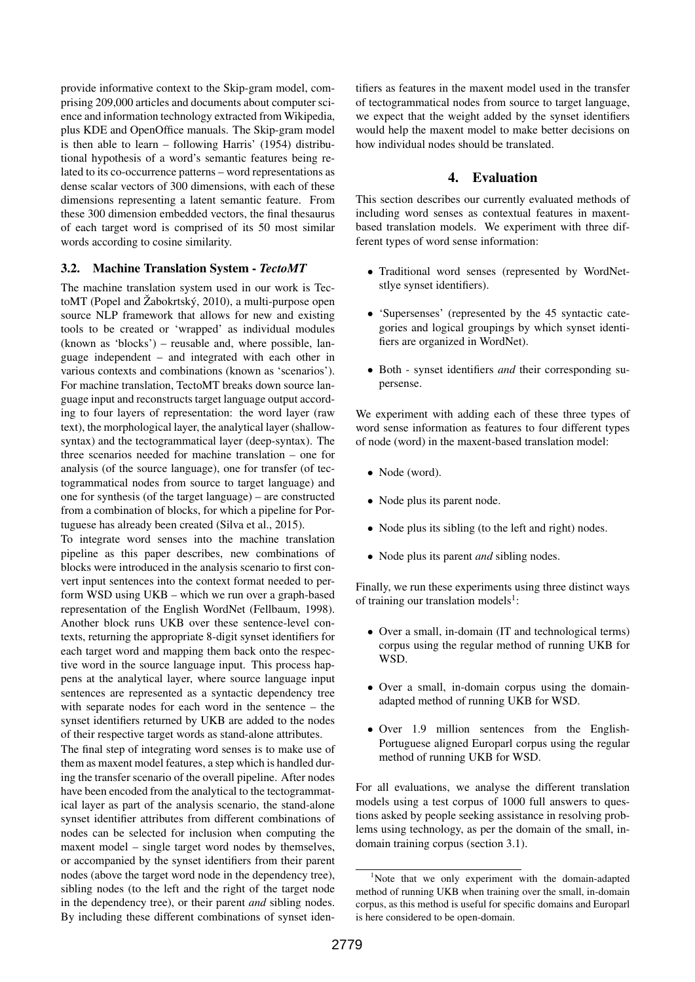provide informative context to the Skip-gram model, comprising 209,000 articles and documents about computer science and information technology extracted from Wikipedia, plus KDE and OpenOffice manuals. The Skip-gram model is then able to learn – following Harris' (1954) distributional hypothesis of a word's semantic features being related to its co-occurrence patterns – word representations as dense scalar vectors of 300 dimensions, with each of these dimensions representing a latent semantic feature. From these 300 dimension embedded vectors, the final thesaurus of each target word is comprised of its 50 most similar words according to cosine similarity.

## 3.2. Machine Translation System - *TectoMT*

The machine translation system used in our work is TectoMT (Popel and  $\check{Z}$ abokrtský, 2010), a multi-purpose open source NLP framework that allows for new and existing tools to be created or 'wrapped' as individual modules (known as 'blocks') – reusable and, where possible, language independent – and integrated with each other in various contexts and combinations (known as 'scenarios'). For machine translation, TectoMT breaks down source language input and reconstructs target language output according to four layers of representation: the word layer (raw text), the morphological layer, the analytical layer (shallowsyntax) and the tectogrammatical layer (deep-syntax). The three scenarios needed for machine translation – one for analysis (of the source language), one for transfer (of tectogrammatical nodes from source to target language) and one for synthesis (of the target language) – are constructed from a combination of blocks, for which a pipeline for Portuguese has already been created (Silva et al., 2015).

To integrate word senses into the machine translation pipeline as this paper describes, new combinations of blocks were introduced in the analysis scenario to first convert input sentences into the context format needed to perform WSD using UKB – which we run over a graph-based representation of the English WordNet (Fellbaum, 1998). Another block runs UKB over these sentence-level contexts, returning the appropriate 8-digit synset identifiers for each target word and mapping them back onto the respective word in the source language input. This process happens at the analytical layer, where source language input sentences are represented as a syntactic dependency tree with separate nodes for each word in the sentence – the synset identifiers returned by UKB are added to the nodes of their respective target words as stand-alone attributes.

The final step of integrating word senses is to make use of them as maxent model features, a step which is handled during the transfer scenario of the overall pipeline. After nodes have been encoded from the analytical to the tectogrammatical layer as part of the analysis scenario, the stand-alone synset identifier attributes from different combinations of nodes can be selected for inclusion when computing the maxent model – single target word nodes by themselves, or accompanied by the synset identifiers from their parent nodes (above the target word node in the dependency tree), sibling nodes (to the left and the right of the target node in the dependency tree), or their parent *and* sibling nodes. By including these different combinations of synset identifiers as features in the maxent model used in the transfer of tectogrammatical nodes from source to target language, we expect that the weight added by the synset identifiers would help the maxent model to make better decisions on how individual nodes should be translated.

## 4. Evaluation

This section describes our currently evaluated methods of including word senses as contextual features in maxentbased translation models. We experiment with three different types of word sense information:

- Traditional word senses (represented by WordNetstlye synset identifiers).
- 'Supersenses' (represented by the 45 syntactic categories and logical groupings by which synset identifiers are organized in WordNet).
- Both synset identifiers *and* their corresponding supersense.

We experiment with adding each of these three types of word sense information as features to four different types of node (word) in the maxent-based translation model:

- Node (word).
- Node plus its parent node.
- Node plus its sibling (to the left and right) nodes.
- Node plus its parent *and* sibling nodes.

Finally, we run these experiments using three distinct ways of training our translation models<sup>1</sup>:

- Over a small, in-domain (IT and technological terms) corpus using the regular method of running UKB for WSD.
- Over a small, in-domain corpus using the domainadapted method of running UKB for WSD.
- Over 1.9 million sentences from the English-Portuguese aligned Europarl corpus using the regular method of running UKB for WSD.

For all evaluations, we analyse the different translation models using a test corpus of 1000 full answers to questions asked by people seeking assistance in resolving problems using technology, as per the domain of the small, indomain training corpus (section 3.1).

<sup>&</sup>lt;sup>1</sup>Note that we only experiment with the domain-adapted method of running UKB when training over the small, in-domain corpus, as this method is useful for specific domains and Europarl is here considered to be open-domain.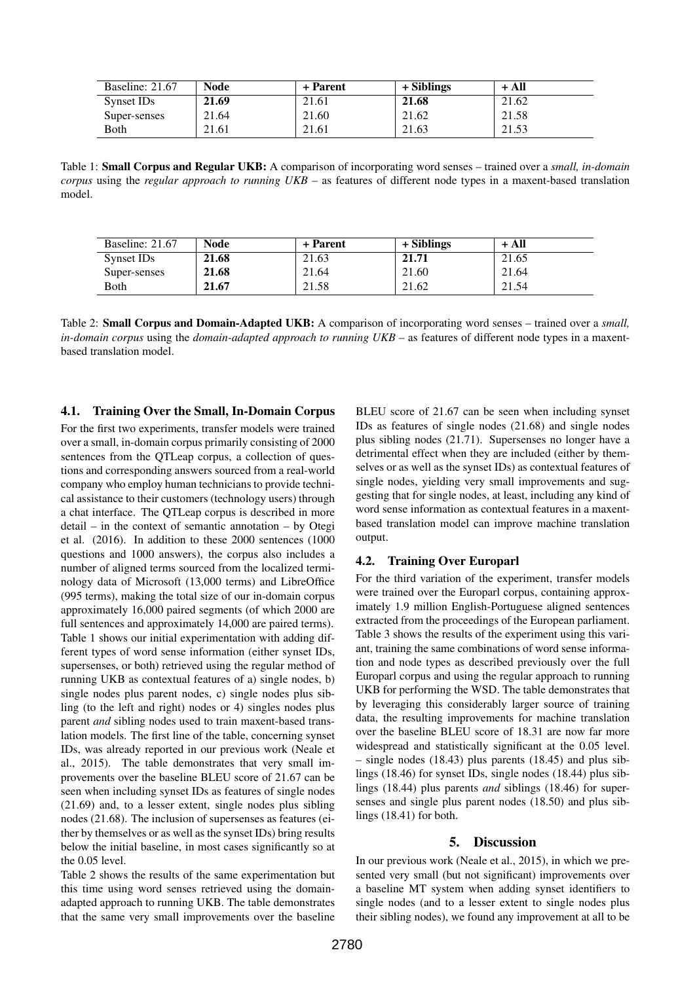| Baseline: 21.67 | Node  | + Parent | + Siblings | + All |
|-----------------|-------|----------|------------|-------|
| Synset IDs      | 21.69 | 21.61    | 21.68      | 21.62 |
| Super-senses    | 21.64 | 21.60    | 21.62      | 21.58 |
| Both            | 21.61 | 21.61    | 21.63      | 21.53 |

Table 1: Small Corpus and Regular UKB: A comparison of incorporating word senses – trained over a *small, in-domain corpus* using the *regular approach to running UKB* – as features of different node types in a maxent-based translation model.

| Baseline: 21.67 | Node  | + Parent | + Siblings | + All |
|-----------------|-------|----------|------------|-------|
| Synset IDs      | 21.68 | 21.63    | 21.71      | 21.65 |
| Super-senses    | 21.68 | 21.64    | 21.60      | 21.64 |
| <b>B</b> oth    | 21.67 | 21.58    | 21.62      | 21.54 |

Table 2: Small Corpus and Domain-Adapted UKB: A comparison of incorporating word senses – trained over a *small, in-domain corpus* using the *domain-adapted approach to running UKB* – as features of different node types in a maxentbased translation model.

### 4.1. Training Over the Small, In-Domain Corpus

For the first two experiments, transfer models were trained over a small, in-domain corpus primarily consisting of 2000 sentences from the QTLeap corpus, a collection of questions and corresponding answers sourced from a real-world company who employ human technicians to provide technical assistance to their customers (technology users) through a chat interface. The QTLeap corpus is described in more detail – in the context of semantic annotation – by Otegi et al. (2016). In addition to these 2000 sentences (1000 questions and 1000 answers), the corpus also includes a number of aligned terms sourced from the localized terminology data of Microsoft (13,000 terms) and LibreOffice (995 terms), making the total size of our in-domain corpus approximately 16,000 paired segments (of which 2000 are full sentences and approximately 14,000 are paired terms). Table 1 shows our initial experimentation with adding different types of word sense information (either synset IDs, supersenses, or both) retrieved using the regular method of running UKB as contextual features of a) single nodes, b) single nodes plus parent nodes, c) single nodes plus sibling (to the left and right) nodes or 4) singles nodes plus parent *and* sibling nodes used to train maxent-based translation models. The first line of the table, concerning synset IDs, was already reported in our previous work (Neale et al., 2015). The table demonstrates that very small improvements over the baseline BLEU score of 21.67 can be seen when including synset IDs as features of single nodes (21.69) and, to a lesser extent, single nodes plus sibling nodes (21.68). The inclusion of supersenses as features (either by themselves or as well as the synset IDs) bring results below the initial baseline, in most cases significantly so at the 0.05 level.

Table 2 shows the results of the same experimentation but this time using word senses retrieved using the domainadapted approach to running UKB. The table demonstrates that the same very small improvements over the baseline

BLEU score of 21.67 can be seen when including synset IDs as features of single nodes (21.68) and single nodes plus sibling nodes (21.71). Supersenses no longer have a detrimental effect when they are included (either by themselves or as well as the synset IDs) as contextual features of single nodes, yielding very small improvements and suggesting that for single nodes, at least, including any kind of word sense information as contextual features in a maxentbased translation model can improve machine translation output.

## 4.2. Training Over Europarl

For the third variation of the experiment, transfer models were trained over the Europarl corpus, containing approximately 1.9 million English-Portuguese aligned sentences extracted from the proceedings of the European parliament. Table 3 shows the results of the experiment using this variant, training the same combinations of word sense information and node types as described previously over the full Europarl corpus and using the regular approach to running UKB for performing the WSD. The table demonstrates that by leveraging this considerably larger source of training data, the resulting improvements for machine translation over the baseline BLEU score of 18.31 are now far more widespread and statistically significant at the 0.05 level. – single nodes (18.43) plus parents (18.45) and plus siblings (18.46) for synset IDs, single nodes (18.44) plus siblings (18.44) plus parents *and* siblings (18.46) for supersenses and single plus parent nodes (18.50) and plus siblings (18.41) for both.

## 5. Discussion

In our previous work (Neale et al., 2015), in which we presented very small (but not significant) improvements over a baseline MT system when adding synset identifiers to single nodes (and to a lesser extent to single nodes plus their sibling nodes), we found any improvement at all to be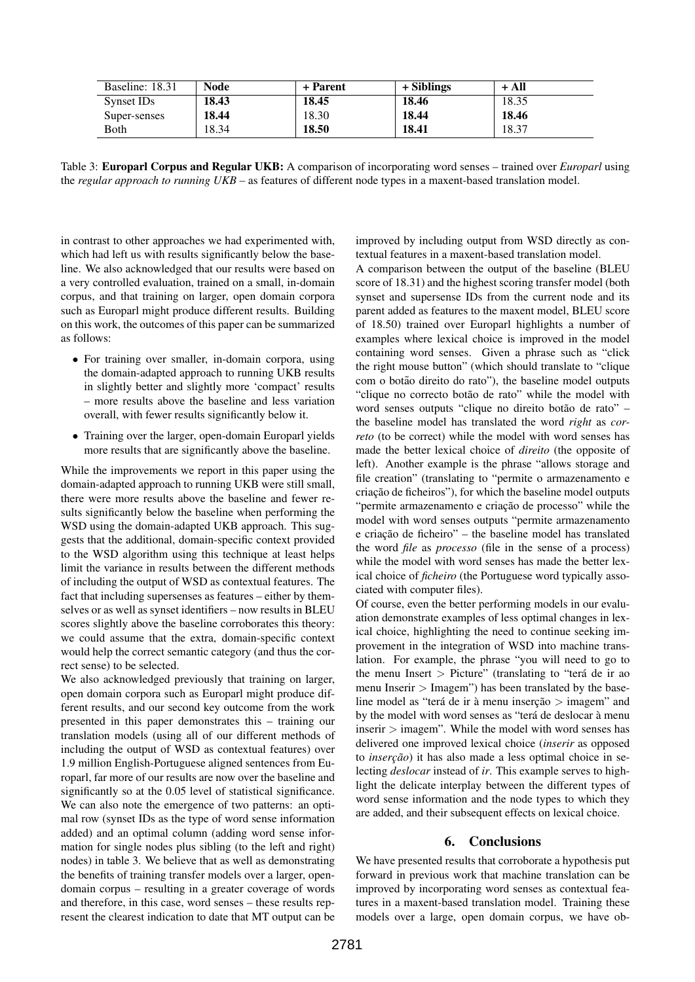| Baseline: 18.31 | Node  | + Parent | + Siblings | + All |
|-----------------|-------|----------|------------|-------|
| Synset IDs      | 18.43 | 18.45    | 18.46      | 18.35 |
| Super-senses    | 18.44 | 18.30    | 18.44      | 18.46 |
| Both            | 18.34 | 18.50    | 18.41      | 18.37 |

Table 3: Europarl Corpus and Regular UKB: A comparison of incorporating word senses – trained over *Europarl* using the *regular approach to running UKB* – as features of different node types in a maxent-based translation model.

in contrast to other approaches we had experimented with, which had left us with results significantly below the baseline. We also acknowledged that our results were based on a very controlled evaluation, trained on a small, in-domain corpus, and that training on larger, open domain corpora such as Europarl might produce different results. Building on this work, the outcomes of this paper can be summarized as follows:

- For training over smaller, in-domain corpora, using the domain-adapted approach to running UKB results in slightly better and slightly more 'compact' results – more results above the baseline and less variation overall, with fewer results significantly below it.
- Training over the larger, open-domain Europarl yields more results that are significantly above the baseline.

While the improvements we report in this paper using the domain-adapted approach to running UKB were still small, there were more results above the baseline and fewer results significantly below the baseline when performing the WSD using the domain-adapted UKB approach. This suggests that the additional, domain-specific context provided to the WSD algorithm using this technique at least helps limit the variance in results between the different methods of including the output of WSD as contextual features. The fact that including supersenses as features – either by themselves or as well as synset identifiers – now results in BLEU scores slightly above the baseline corroborates this theory: we could assume that the extra, domain-specific context would help the correct semantic category (and thus the correct sense) to be selected.

We also acknowledged previously that training on larger, open domain corpora such as Europarl might produce different results, and our second key outcome from the work presented in this paper demonstrates this – training our translation models (using all of our different methods of including the output of WSD as contextual features) over 1.9 million English-Portuguese aligned sentences from Europarl, far more of our results are now over the baseline and significantly so at the 0.05 level of statistical significance. We can also note the emergence of two patterns: an optimal row (synset IDs as the type of word sense information added) and an optimal column (adding word sense information for single nodes plus sibling (to the left and right) nodes) in table 3. We believe that as well as demonstrating the benefits of training transfer models over a larger, opendomain corpus – resulting in a greater coverage of words and therefore, in this case, word senses – these results represent the clearest indication to date that MT output can be

improved by including output from WSD directly as contextual features in a maxent-based translation model.

A comparison between the output of the baseline (BLEU score of 18.31) and the highest scoring transfer model (both synset and supersense IDs from the current node and its parent added as features to the maxent model, BLEU score of 18.50) trained over Europarl highlights a number of examples where lexical choice is improved in the model containing word senses. Given a phrase such as "click the right mouse button" (which should translate to "clique com o botão direito do rato"), the baseline model outputs "clique no correcto botão de rato" while the model with word senses outputs "clique no direito botão de rato" – the baseline model has translated the word *right* as *correto* (to be correct) while the model with word senses has made the better lexical choice of *direito* (the opposite of left). Another example is the phrase "allows storage and file creation" (translating to "permite o armazenamento e criação de ficheiros"), for which the baseline model outputs "permite armazenamento e criação de processo" while the model with word senses outputs "permite armazenamento e criação de ficheiro" – the baseline model has translated the word *file* as *processo* (file in the sense of a process) while the model with word senses has made the better lexical choice of *ficheiro* (the Portuguese word typically associated with computer files).

Of course, even the better performing models in our evaluation demonstrate examples of less optimal changes in lexical choice, highlighting the need to continue seeking improvement in the integration of WSD into machine translation. For example, the phrase "you will need to go to the menu Insert  $>$  Picture" (translating to "terá de ir ao menu Inserir  $>$  Imagem") has been translated by the baseline model as "terá de ir à menu inserção  $>$  imagem" and by the model with word senses as "terá de deslocar à menu inserir  $>$  imagem". While the model with word senses has delivered one improved lexical choice (*inserir* as opposed to *inserção*) it has also made a less optimal choice in selecting *deslocar* instead of *ir*. This example serves to highlight the delicate interplay between the different types of word sense information and the node types to which they are added, and their subsequent effects on lexical choice.

#### 6. Conclusions

We have presented results that corroborate a hypothesis put forward in previous work that machine translation can be improved by incorporating word senses as contextual features in a maxent-based translation model. Training these models over a large, open domain corpus, we have ob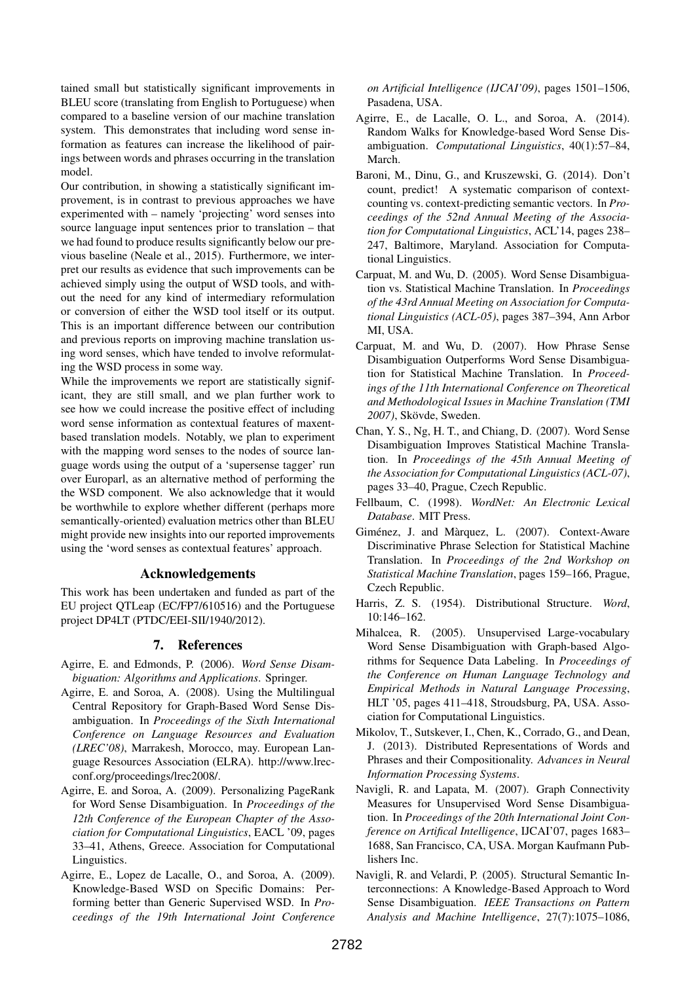tained small but statistically significant improvements in BLEU score (translating from English to Portuguese) when compared to a baseline version of our machine translation system. This demonstrates that including word sense information as features can increase the likelihood of pairings between words and phrases occurring in the translation model.

Our contribution, in showing a statistically significant improvement, is in contrast to previous approaches we have experimented with – namely 'projecting' word senses into source language input sentences prior to translation – that we had found to produce results significantly below our previous baseline (Neale et al., 2015). Furthermore, we interpret our results as evidence that such improvements can be achieved simply using the output of WSD tools, and without the need for any kind of intermediary reformulation or conversion of either the WSD tool itself or its output. This is an important difference between our contribution and previous reports on improving machine translation using word senses, which have tended to involve reformulating the WSD process in some way.

While the improvements we report are statistically significant, they are still small, and we plan further work to see how we could increase the positive effect of including word sense information as contextual features of maxentbased translation models. Notably, we plan to experiment with the mapping word senses to the nodes of source language words using the output of a 'supersense tagger' run over Europarl, as an alternative method of performing the the WSD component. We also acknowledge that it would be worthwhile to explore whether different (perhaps more semantically-oriented) evaluation metrics other than BLEU might provide new insights into our reported improvements using the 'word senses as contextual features' approach.

#### Acknowledgements

This work has been undertaken and funded as part of the EU project QTLeap (EC/FP7/610516) and the Portuguese project DP4LT (PTDC/EEI-SII/1940/2012).

#### 7. References

- Agirre, E. and Edmonds, P. (2006). *Word Sense Disambiguation: Algorithms and Applications*. Springer.
- Agirre, E. and Soroa, A. (2008). Using the Multilingual Central Repository for Graph-Based Word Sense Disambiguation. In *Proceedings of the Sixth International Conference on Language Resources and Evaluation (LREC'08)*, Marrakesh, Morocco, may. European Language Resources Association (ELRA). http://www.lrecconf.org/proceedings/lrec2008/.
- Agirre, E. and Soroa, A. (2009). Personalizing PageRank for Word Sense Disambiguation. In *Proceedings of the 12th Conference of the European Chapter of the Association for Computational Linguistics*, EACL '09, pages 33–41, Athens, Greece. Association for Computational Linguistics.
- Agirre, E., Lopez de Lacalle, O., and Soroa, A. (2009). Knowledge-Based WSD on Specific Domains: Performing better than Generic Supervised WSD. In *Proceedings of the 19th International Joint Conference*

*on Artificial Intelligence (IJCAI'09)*, pages 1501–1506, Pasadena, USA.

- Agirre, E., de Lacalle, O. L., and Soroa, A. (2014). Random Walks for Knowledge-based Word Sense Disambiguation. *Computational Linguistics*, 40(1):57–84, March.
- Baroni, M., Dinu, G., and Kruszewski, G. (2014). Don't count, predict! A systematic comparison of contextcounting vs. context-predicting semantic vectors. In *Proceedings of the 52nd Annual Meeting of the Association for Computational Linguistics*, ACL'14, pages 238– 247, Baltimore, Maryland. Association for Computational Linguistics.
- Carpuat, M. and Wu, D. (2005). Word Sense Disambiguation vs. Statistical Machine Translation. In *Proceedings of the 43rd Annual Meeting on Association for Computational Linguistics (ACL-05)*, pages 387–394, Ann Arbor MI, USA.
- Carpuat, M. and Wu, D. (2007). How Phrase Sense Disambiguation Outperforms Word Sense Disambiguation for Statistical Machine Translation. In *Proceedings of the 11th International Conference on Theoretical and Methodological Issues in Machine Translation (TMI* 2007), Skövde, Sweden.
- Chan, Y. S., Ng, H. T., and Chiang, D. (2007). Word Sense Disambiguation Improves Statistical Machine Translation. In *Proceedings of the 45th Annual Meeting of the Association for Computational Linguistics (ACL-07)*, pages 33–40, Prague, Czech Republic.
- Fellbaum, C. (1998). *WordNet: An Electronic Lexical Database*. MIT Press.
- Giménez, J. and Màrquez, L. (2007). Context-Aware Discriminative Phrase Selection for Statistical Machine Translation. In *Proceedings of the 2nd Workshop on Statistical Machine Translation*, pages 159–166, Prague, Czech Republic.
- Harris, Z. S. (1954). Distributional Structure. *Word*, 10:146–162.
- Mihalcea, R. (2005). Unsupervised Large-vocabulary Word Sense Disambiguation with Graph-based Algorithms for Sequence Data Labeling. In *Proceedings of the Conference on Human Language Technology and Empirical Methods in Natural Language Processing*, HLT '05, pages 411–418, Stroudsburg, PA, USA. Association for Computational Linguistics.
- Mikolov, T., Sutskever, I., Chen, K., Corrado, G., and Dean, J. (2013). Distributed Representations of Words and Phrases and their Compositionality. *Advances in Neural Information Processing Systems*.
- Navigli, R. and Lapata, M. (2007). Graph Connectivity Measures for Unsupervised Word Sense Disambiguation. In *Proceedings of the 20th International Joint Conference on Artifical Intelligence*, IJCAI'07, pages 1683– 1688, San Francisco, CA, USA. Morgan Kaufmann Publishers Inc.
- Navigli, R. and Velardi, P. (2005). Structural Semantic Interconnections: A Knowledge-Based Approach to Word Sense Disambiguation. *IEEE Transactions on Pattern Analysis and Machine Intelligence*, 27(7):1075–1086,